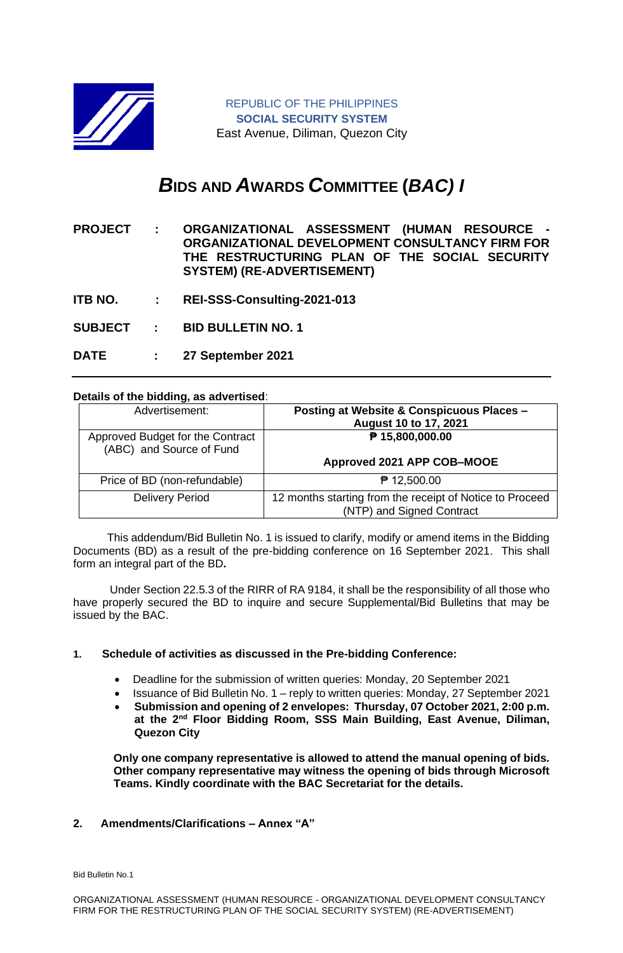

# *B***IDS AND** *A***WARDS** *C***OMMITTEE (***BAC) I*

**PROJECT : ORGANIZATIONAL ASSESSMENT (HUMAN RESOURCE - ORGANIZATIONAL DEVELOPMENT CONSULTANCY FIRM FOR THE RESTRUCTURING PLAN OF THE SOCIAL SECURITY SYSTEM) (RE-ADVERTISEMENT)** 

**ITB NO. : REI-SSS-Consulting-2021-013**

**SUBJECT : BID BULLETIN NO. 1**

**DATE : 27 September 2021**

## **Details of the bidding, as advertised**:

| Advertisement:                                               | Posting at Website & Conspicuous Places -<br>August 10 to 17, 2021 |
|--------------------------------------------------------------|--------------------------------------------------------------------|
| Approved Budget for the Contract<br>(ABC) and Source of Fund | ₱ 15,800,000.00                                                    |
|                                                              | Approved 2021 APP COB-MOOE                                         |
| Price of BD (non-refundable)                                 | $P$ 12,500.00                                                      |
| <b>Delivery Period</b>                                       | 12 months starting from the receipt of Notice to Proceed           |
|                                                              | (NTP) and Signed Contract                                          |

 This addendum/Bid Bulletin No. 1 is issued to clarify, modify or amend items in the Bidding Documents (BD) as a result of the pre-bidding conference on 16 September 2021. This shall form an integral part of the BD**.**

Under Section 22.5.3 of the RIRR of RA 9184, it shall be the responsibility of all those who have properly secured the BD to inquire and secure Supplemental/Bid Bulletins that may be issued by the BAC.

#### **1. Schedule of activities as discussed in the Pre-bidding Conference:**

- Deadline for the submission of written queries: Monday, 20 September 2021
- Issuance of Bid Bulletin No. 1 reply to written queries: Monday, 27 September 2021
- **Submission and opening of 2 envelopes: Thursday, 07 October 2021, 2:00 p.m. at the 2nd Floor Bidding Room, SSS Main Building, East Avenue, Diliman, Quezon City**

**Only one company representative is allowed to attend the manual opening of bids. Other company representative may witness the opening of bids through Microsoft Teams. Kindly coordinate with the BAC Secretariat for the details.**

#### **2. Amendments/Clarifications – Annex "A"**

Bid Bulletin No.1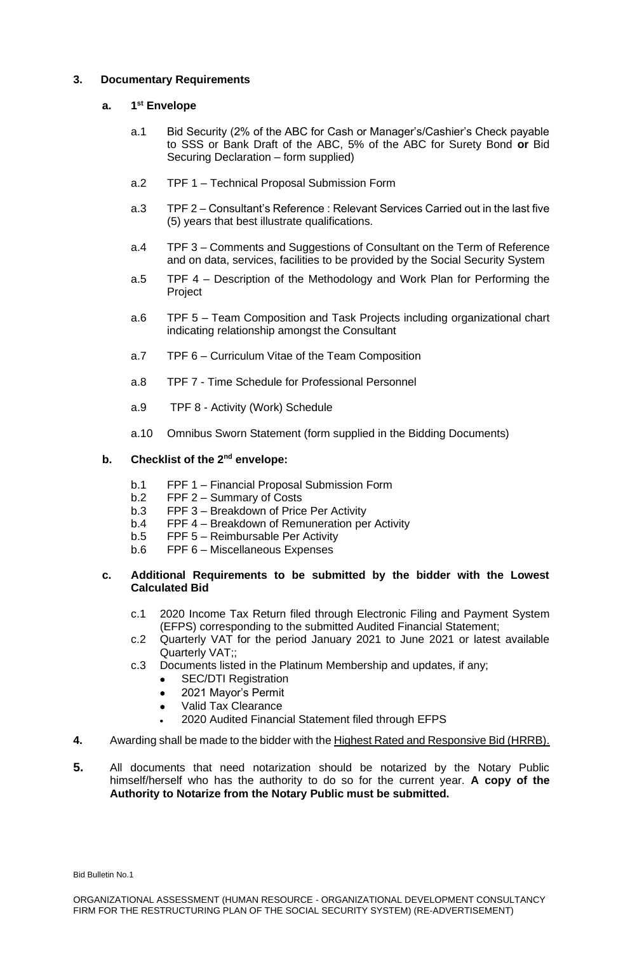#### **3. Documentary Requirements**

#### **a. 1 st Envelope**

- a.1 Bid Security (2% of the ABC for Cash or Manager's/Cashier's Check payable to SSS or Bank Draft of the ABC, 5% of the ABC for Surety Bond **or** Bid Securing Declaration – form supplied)
- a.2 TPF 1 Technical Proposal Submission Form
- a.3 TPF 2 Consultant's Reference : Relevant Services Carried out in the last five (5) years that best illustrate qualifications.
- a.4 TPF 3 Comments and Suggestions of Consultant on the Term of Reference and on data, services, facilities to be provided by the Social Security System
- a.5 TPF 4 Description of the Methodology and Work Plan for Performing the Project
- a.6 TPF 5 Team Composition and Task Projects including organizational chart indicating relationship amongst the Consultant
- a.7 TPF 6 Curriculum Vitae of the Team Composition
- a.8 TPF 7 Time Schedule for Professional Personnel
- a.9 TPF 8 Activity (Work) Schedule
- a.10 Omnibus Sworn Statement (form supplied in the Bidding Documents)

### **b. Checklist of the 2nd envelope:**

- b.1 FPF 1 Financial Proposal Submission Form
- b.2 FPF 2 Summary of Costs
- b.3 FPF 3 Breakdown of Price Per Activity
- b.4 FPF 4 Breakdown of Remuneration per Activity
- b.5 FPF 5 Reimbursable Per Activity
- b.6 FPF 6 Miscellaneous Expenses

#### **c. Additional Requirements to be submitted by the bidder with the Lowest Calculated Bid**

- c.1 2020 Income Tax Return filed through Electronic Filing and Payment System (EFPS) corresponding to the submitted Audited Financial Statement;
- c.2 Quarterly VAT for the period January 2021 to June 2021 or latest available Quarterly VAT;;
- c.3 Documents listed in the Platinum Membership and updates, if any;
	- SEC/DTI Registration
	- 2021 Mayor's Permit
	- Valid Tax Clearance
	- 2020 Audited Financial Statement filed through EFPS
- **4.** Awarding shall be made to the bidder with the Highest Rated and Responsive Bid (HRRB).
- **5.** All documents that need notarization should be notarized by the Notary Public himself/herself who has the authority to do so for the current year. **A copy of the Authority to Notarize from the Notary Public must be submitted.**